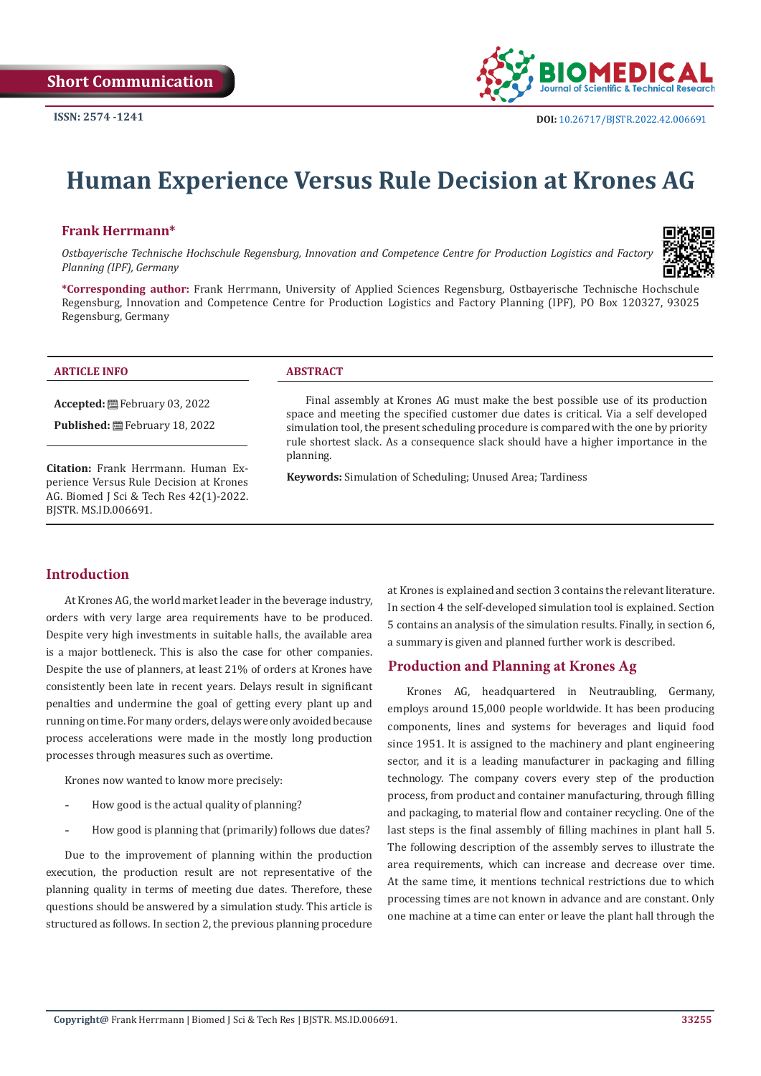

# **Human Experience Versus Rule Decision at Krones AG**

#### **Frank Herrmann\***

*Ostbayerische Technische Hochschule Regensburg, Innovation and Competence Centre for Production Logistics and Factory Planning (IPF), Germany*



**\*Corresponding author:** Frank Herrmann, University of Applied Sciences Regensburg, Ostbayerische Technische Hochschule Regensburg, Innovation and Competence Centre for Production Logistics and Factory Planning (IPF), PO Box 120327, 93025 Regensburg, Germany

#### **ARTICLE INFO ABSTRACT**

**Accepted:** February 03, 2022

Published: **■**February 18, 2022

**Citation:** Frank Herrmann. Human Experience Versus Rule Decision at Krones AG. Biomed J Sci & Tech Res 42(1)-2022. BJSTR. MS.ID.006691.

Final assembly at Krones AG must make the best possible use of its production space and meeting the specified customer due dates is critical. Via a self developed simulation tool, the present scheduling procedure is compared with the one by priority rule shortest slack. As a consequence slack should have a higher importance in the planning.

**Keywords:** Simulation of Scheduling; Unused Area; Tardiness

#### **Introduction**

At Krones AG, the world market leader in the beverage industry, orders with very large area requirements have to be produced. Despite very high investments in suitable halls, the available area is a major bottleneck. This is also the case for other companies. Despite the use of planners, at least 21% of orders at Krones have consistently been late in recent years. Delays result in significant penalties and undermine the goal of getting every plant up and running on time. For many orders, delays were only avoided because process accelerations were made in the mostly long production processes through measures such as overtime.

Krones now wanted to know more precisely:

- **-** How good is the actual quality of planning?
- **-** How good is planning that (primarily) follows due dates?

Due to the improvement of planning within the production execution, the production result are not representative of the planning quality in terms of meeting due dates. Therefore, these questions should be answered by a simulation study. This article is structured as follows. In section 2, the previous planning procedure

at Krones is explained and section 3 contains the relevant literature. In section 4 the self-developed simulation tool is explained. Section 5 contains an analysis of the simulation results. Finally, in section 6, a summary is given and planned further work is described.

### **Production and Planning at Krones Ag**

Krones AG, headquartered in Neutraubling, Germany, employs around 15,000 people worldwide. It has been producing components, lines and systems for beverages and liquid food since 1951. It is assigned to the machinery and plant engineering sector, and it is a leading manufacturer in packaging and filling technology. The company covers every step of the production process, from product and container manufacturing, through filling and packaging, to material flow and container recycling. One of the last steps is the final assembly of filling machines in plant hall 5. The following description of the assembly serves to illustrate the area requirements, which can increase and decrease over time. At the same time, it mentions technical restrictions due to which processing times are not known in advance and are constant. Only one machine at a time can enter or leave the plant hall through the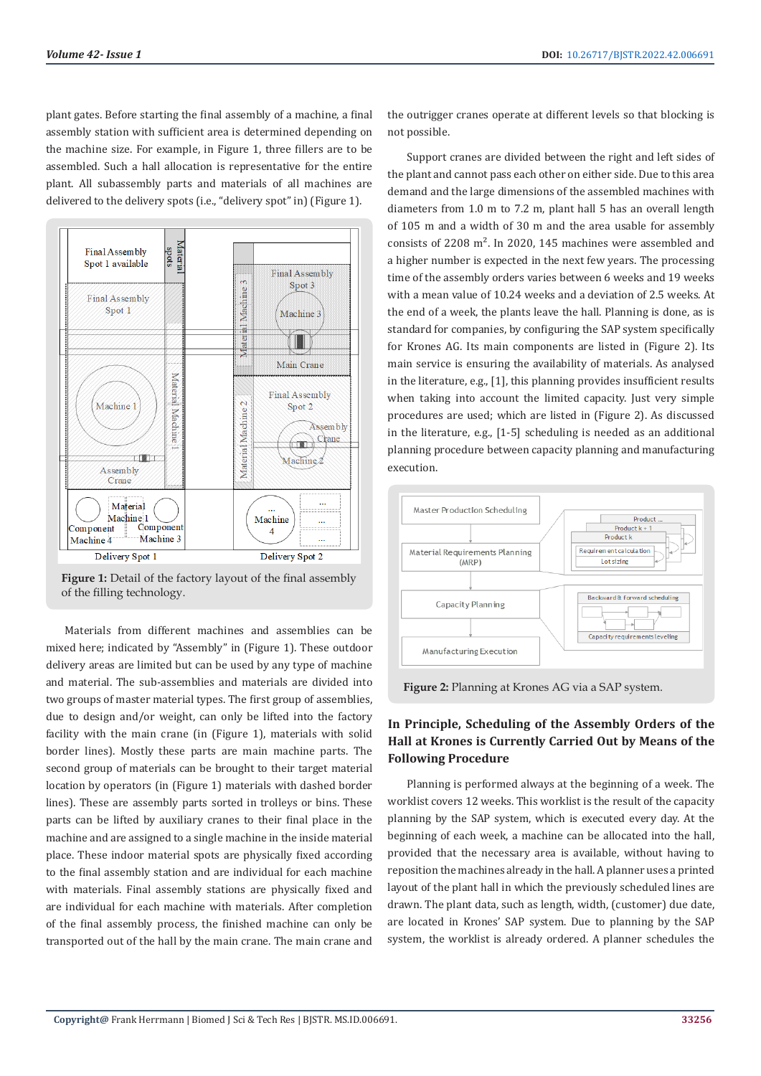plant gates. Before starting the final assembly of a machine, a final assembly station with sufficient area is determined depending on the machine size. For example, in Figure 1, three fillers are to be assembled. Such a hall allocation is representative for the entire plant. All subassembly parts and materials of all machines are delivered to the delivery spots (i.e., "delivery spot" in) (Figure 1).





Materials from different machines and assemblies can be mixed here; indicated by "Assembly" in (Figure 1). These outdoor delivery areas are limited but can be used by any type of machine and material. The sub-assemblies and materials are divided into two groups of master material types. The first group of assemblies, due to design and/or weight, can only be lifted into the factory facility with the main crane (in (Figure 1), materials with solid border lines). Mostly these parts are main machine parts. The second group of materials can be brought to their target material location by operators (in (Figure 1) materials with dashed border lines). These are assembly parts sorted in trolleys or bins. These parts can be lifted by auxiliary cranes to their final place in the machine and are assigned to a single machine in the inside material place. These indoor material spots are physically fixed according to the final assembly station and are individual for each machine with materials. Final assembly stations are physically fixed and are individual for each machine with materials. After completion of the final assembly process, the finished machine can only be transported out of the hall by the main crane. The main crane and

the outrigger cranes operate at different levels so that blocking is not possible.

Support cranes are divided between the right and left sides of the plant and cannot pass each other on either side. Due to this area demand and the large dimensions of the assembled machines with diameters from 1.0 m to 7.2 m, plant hall 5 has an overall length of 105 m and a width of 30 m and the area usable for assembly consists of 2208 m². In 2020, 145 machines were assembled and a higher number is expected in the next few years. The processing time of the assembly orders varies between 6 weeks and 19 weeks with a mean value of 10.24 weeks and a deviation of 2.5 weeks. At the end of a week, the plants leave the hall. Planning is done, as is standard for companies, by configuring the SAP system specifically for Krones AG. Its main components are listed in (Figure 2). Its main service is ensuring the availability of materials. As analysed in the literature, e.g., [1], this planning provides insufficient results when taking into account the limited capacity. Just very simple procedures are used; which are listed in (Figure 2). As discussed in the literature, e.g., [1-5] scheduling is needed as an additional planning procedure between capacity planning and manufacturing execution.



**Figure 2:** Planning at Krones AG via a SAP system.

# **In Principle, Scheduling of the Assembly Orders of the Hall at Krones is Currently Carried Out by Means of the Following Procedure**

Planning is performed always at the beginning of a week. The worklist covers 12 weeks. This worklist is the result of the capacity planning by the SAP system, which is executed every day. At the beginning of each week, a machine can be allocated into the hall, provided that the necessary area is available, without having to reposition the machines already in the hall. A planner uses a printed layout of the plant hall in which the previously scheduled lines are drawn. The plant data, such as length, width, (customer) due date, are located in Krones' SAP system. Due to planning by the SAP system, the worklist is already ordered. A planner schedules the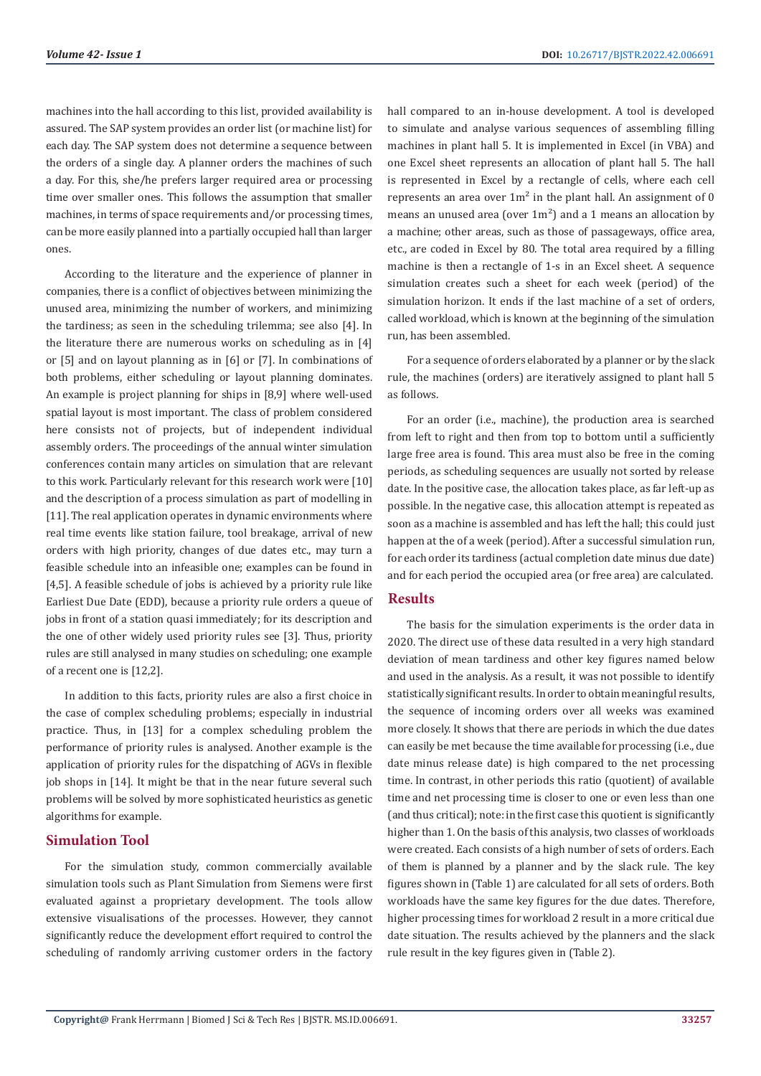machines into the hall according to this list, provided availability is assured. The SAP system provides an order list (or machine list) for each day. The SAP system does not determine a sequence between the orders of a single day. A planner orders the machines of such a day. For this, she/he prefers larger required area or processing time over smaller ones. This follows the assumption that smaller machines, in terms of space requirements and/or processing times, can be more easily planned into a partially occupied hall than larger ones.

According to the literature and the experience of planner in companies, there is a conflict of objectives between minimizing the unused area, minimizing the number of workers, and minimizing the tardiness; as seen in the scheduling trilemma; see also [4]. In the literature there are numerous works on scheduling as in [4] or [5] and on layout planning as in [6] or [7]. In combinations of both problems, either scheduling or layout planning dominates. An example is project planning for ships in [8,9] where well-used spatial layout is most important. The class of problem considered here consists not of projects, but of independent individual assembly orders. The proceedings of the annual winter simulation conferences contain many articles on simulation that are relevant to this work. Particularly relevant for this research work were [10] and the description of a process simulation as part of modelling in [11]. The real application operates in dynamic environments where real time events like station failure, tool breakage, arrival of new orders with high priority, changes of due dates etc., may turn a feasible schedule into an infeasible one; examples can be found in [4,5]. A feasible schedule of jobs is achieved by a priority rule like Earliest Due Date (EDD), because a priority rule orders a queue of jobs in front of a station quasi immediately; for its description and the one of other widely used priority rules see [3]. Thus, priority rules are still analysed in many studies on scheduling; one example of a recent one is [12,2].

In addition to this facts, priority rules are also a first choice in the case of complex scheduling problems; especially in industrial practice. Thus, in [13] for a complex scheduling problem the performance of priority rules is analysed. Another example is the application of priority rules for the dispatching of AGVs in flexible job shops in [14]. It might be that in the near future several such problems will be solved by more sophisticated heuristics as genetic algorithms for example.

#### **Simulation Tool**

For the simulation study, common commercially available simulation tools such as Plant Simulation from Siemens were first evaluated against a proprietary development. The tools allow extensive visualisations of the processes. However, they cannot significantly reduce the development effort required to control the scheduling of randomly arriving customer orders in the factory

hall compared to an in-house development. A tool is developed to simulate and analyse various sequences of assembling filling machines in plant hall 5. It is implemented in Excel (in VBA) and one Excel sheet represents an allocation of plant hall 5. The hall is represented in Excel by a rectangle of cells, where each cell represents an area over  $1m^2$  in the plant hall. An assignment of 0 means an unused area (over  $1m<sup>2</sup>$ ) and a 1 means an allocation by a machine; other areas, such as those of passageways, office area, etc., are coded in Excel by 80. The total area required by a filling machine is then a rectangle of 1-s in an Excel sheet. A sequence simulation creates such a sheet for each week (period) of the simulation horizon. It ends if the last machine of a set of orders, called workload, which is known at the beginning of the simulation run, has been assembled.

For a sequence of orders elaborated by a planner or by the slack rule, the machines (orders) are iteratively assigned to plant hall 5 as follows.

For an order (i.e., machine), the production area is searched from left to right and then from top to bottom until a sufficiently large free area is found. This area must also be free in the coming periods, as scheduling sequences are usually not sorted by release date. In the positive case, the allocation takes place, as far left-up as possible. In the negative case, this allocation attempt is repeated as soon as a machine is assembled and has left the hall; this could just happen at the of a week (period). After a successful simulation run, for each order its tardiness (actual completion date minus due date) and for each period the occupied area (or free area) are calculated.

## **Results**

The basis for the simulation experiments is the order data in 2020. The direct use of these data resulted in a very high standard deviation of mean tardiness and other key figures named below and used in the analysis. As a result, it was not possible to identify statistically significant results. In order to obtain meaningful results, the sequence of incoming orders over all weeks was examined more closely. It shows that there are periods in which the due dates can easily be met because the time available for processing (i.e., due date minus release date) is high compared to the net processing time. In contrast, in other periods this ratio (quotient) of available time and net processing time is closer to one or even less than one (and thus critical); note: in the first case this quotient is significantly higher than 1. On the basis of this analysis, two classes of workloads were created. Each consists of a high number of sets of orders. Each of them is planned by a planner and by the slack rule. The key figures shown in (Table 1) are calculated for all sets of orders. Both workloads have the same key figures for the due dates. Therefore, higher processing times for workload 2 result in a more critical due date situation. The results achieved by the planners and the slack rule result in the key figures given in (Table 2).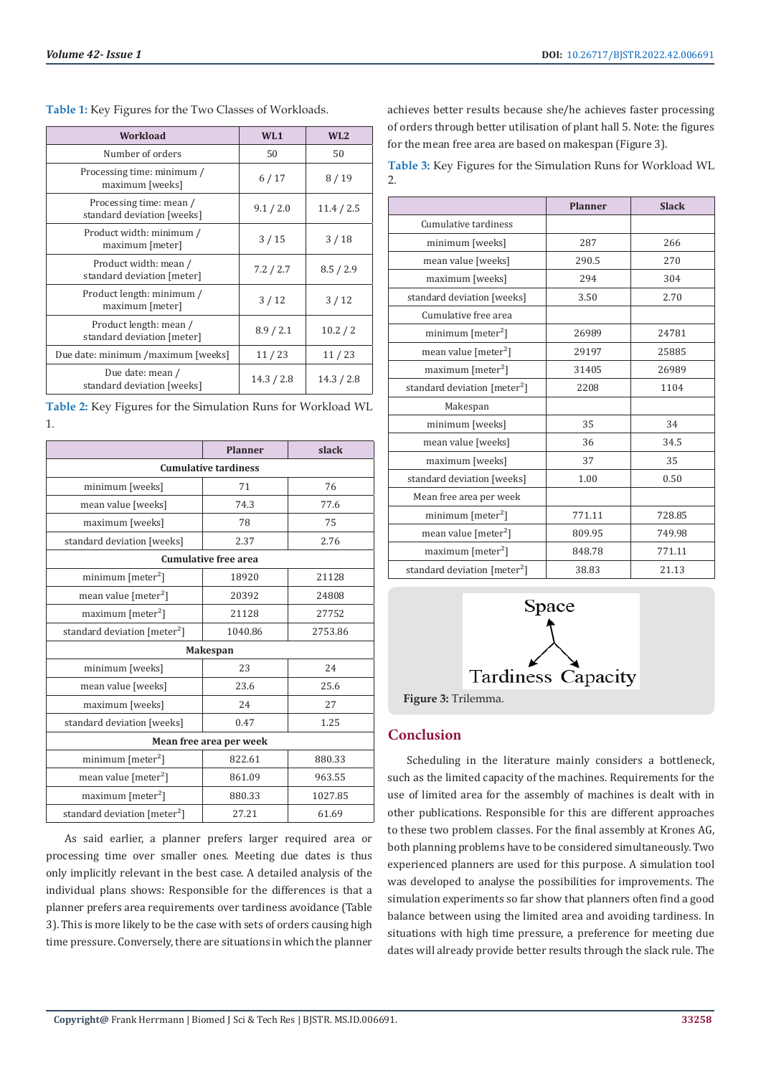| Workload                                              | W <sub>L</sub> 1 | WL2        |
|-------------------------------------------------------|------------------|------------|
| Number of orders                                      | 50               | 50         |
| Processing time: minimum /<br>maximum [weeks]         | 6/17             | 8/19       |
| Processing time: mean /<br>standard deviation [weeks] | 9.1 / 2.0        | 11.4 / 2.5 |
| Product width: minimum /<br>maximum [meter]           | 3/15             | 3/18       |
| Product width: mean /<br>standard deviation [meter]   | 7.2 / 2.7        | 8.5 / 2.9  |
| Product length: minimum /<br>maximum [meter]          | 3/12             | 3/12       |
| Product length: mean /<br>standard deviation [meter]  | 8.9 / 2.1        | 10.2 / 2   |
| Due date: minimum /maximum [weeks]                    | 11/23            | 11/23      |
| Due date: mean /<br>standard deviation [weeks]        | 14.3 / 2.8       | 14.3 / 2.8 |

**Table 1:** Key Figures for the Two Classes of Workloads.

**Table 2:** Key Figures for the Simulation Runs for Workload WL 1.

|                                          | <b>Planner</b> | slack   |  |
|------------------------------------------|----------------|---------|--|
| <b>Cumulative tardiness</b>              |                |         |  |
| minimum [weeks]                          | 71             | 76      |  |
| mean value [weeks]                       | 74.3           | 77.6    |  |
| maximum [weeks]                          | 78             | 75      |  |
| standard deviation [weeks]               | 2.37           | 2.76    |  |
| <b>Cumulative free area</b>              |                |         |  |
| minimum $[meter2]$                       | 18920          | 21128   |  |
| mean value [meter <sup>2</sup> ]         | 20392          | 24808   |  |
| maximum $[meter2]$                       | 21128          | 27752   |  |
| standard deviation [meter <sup>2</sup> ] | 1040.86        | 2753.86 |  |
| Makespan                                 |                |         |  |
| minimum [weeks]                          | 23             | 24      |  |
| mean value [weeks]                       | 23.6           | 25.6    |  |
| maximum [weeks]                          | 24             | 27      |  |
| standard deviation [weeks]               | 0.47           | 1.25    |  |
| Mean free area per week                  |                |         |  |
| minimum $[meter2]$                       | 822.61         | 880.33  |  |
| mean value $[meter2]$                    | 861.09         | 963.55  |  |
| maximum [meter <sup>2</sup> ]            | 880.33         | 1027.85 |  |
| standard deviation [meter <sup>2</sup> ] | 27.21          | 61.69   |  |

As said earlier, a planner prefers larger required area or processing time over smaller ones. Meeting due dates is thus only implicitly relevant in the best case. A detailed analysis of the individual plans shows: Responsible for the differences is that a planner prefers area requirements over tardiness avoidance (Table 3). This is more likely to be the case with sets of orders causing high time pressure. Conversely, there are situations in which the planner

achieves better results because she/he achieves faster processing of orders through better utilisation of plant hall 5. Note: the figures for the mean free area are based on makespan (Figure 3).

**Table 3:** Key Figures for the Simulation Runs for Workload WL 2.

|                                          | <b>Planner</b> | <b>Slack</b> |
|------------------------------------------|----------------|--------------|
| Cumulative tardiness                     |                |              |
| minimum [weeks]                          | 287            | 266          |
| mean value [weeks]                       | 290.5          | 270          |
| maximum [weeks]                          | 294            | 304          |
| standard deviation [weeks]               | 3.50           | 2.70         |
| Cumulative free area                     |                |              |
| $minimum$ [meter <sup>2</sup> ]          | 26989          | 24781        |
| mean value [meter <sup>2</sup> ]         | 29197          | 25885        |
| maximum [meter <sup>2</sup> ]            | 31405          | 26989        |
| standard deviation [meter <sup>2</sup> ] | 2208           | 1104         |
| Makespan                                 |                |              |
| minimum [weeks]                          | 35             | 34           |
| mean value [weeks]                       | 36             | 34.5         |
| maximum [weeks]                          | 37             | 35           |
| standard deviation [weeks]               | 1.00           | 0.50         |
| Mean free area per week                  |                |              |
| minimum [meter <sup>2</sup> ]            | 771.11         | 728.85       |
| mean value [meter <sup>2</sup> ]         | 809.95         | 749.98       |
| maximum [meter <sup>2</sup> ]            | 848.78         | 771.11       |
| standard deviation [meter <sup>2</sup> ] | 38.83          | 21.13        |



# **Conclusion**

Scheduling in the literature mainly considers a bottleneck, such as the limited capacity of the machines. Requirements for the use of limited area for the assembly of machines is dealt with in other publications. Responsible for this are different approaches to these two problem classes. For the final assembly at Krones AG, both planning problems have to be considered simultaneously. Two experienced planners are used for this purpose. A simulation tool was developed to analyse the possibilities for improvements. The simulation experiments so far show that planners often find a good balance between using the limited area and avoiding tardiness. In situations with high time pressure, a preference for meeting due dates will already provide better results through the slack rule. The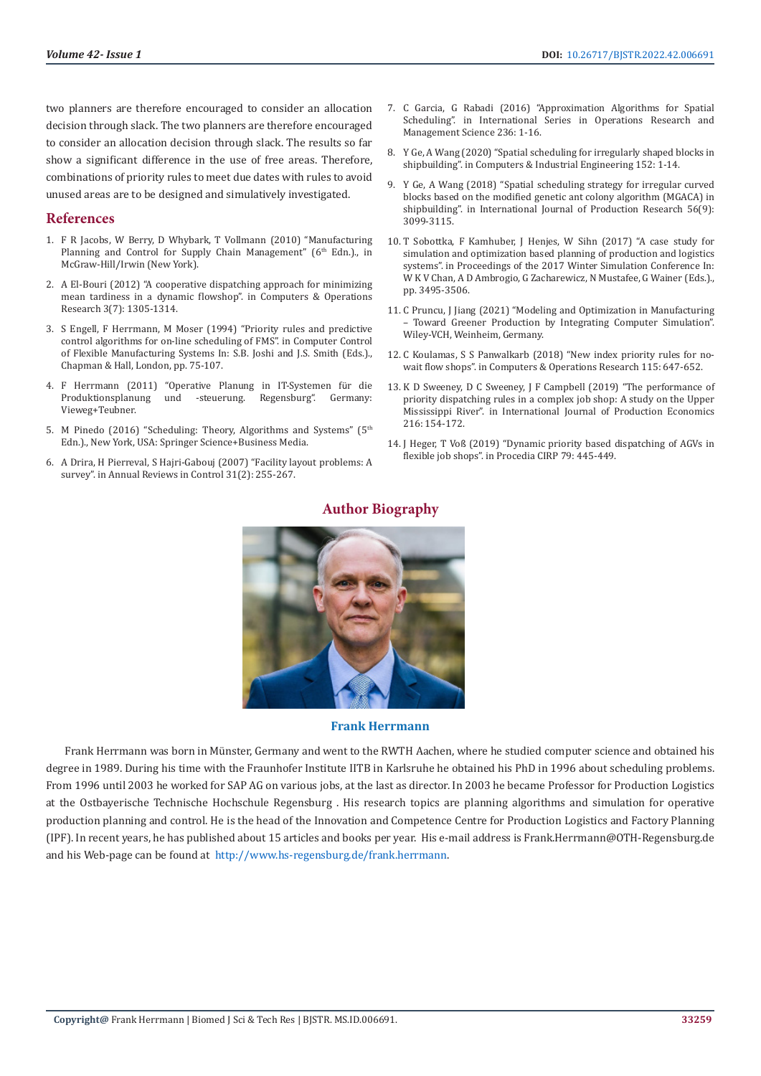two planners are therefore encouraged to consider an allocation decision through slack. The two planners are therefore encouraged to consider an allocation decision through slack. The results so far show a significant difference in the use of free areas. Therefore, combinations of priority rules to meet due dates with rules to avoid unused areas are to be designed and simulatively investigated.

#### **References**

- 1. F R Jacobs, W Berry, D Whybark, T Vollmann (2010) "Manufacturing Planning and Control for Supply Chain Management" (6<sup>th</sup> Edn.)., in McGraw-Hill/Irwin (New York).
- 2. [A El-Bouri \(2012\) "A cooperative dispatching approach for minimizing](https://dl.acm.org/doi/abs/10.1016/j.cor.2011.07.004)  [mean tardiness in a dynamic flowshop". in Computers & Operations](https://dl.acm.org/doi/abs/10.1016/j.cor.2011.07.004)  [Research 3\(7\): 1305-1314.](https://dl.acm.org/doi/abs/10.1016/j.cor.2011.07.004)
- 3. S Engell, F Herrmann, M Moser (1994) "Priority rules and predictive control algorithms for on-line scheduling of FMS". in Computer Control of Flexible Manufacturing Systems In: S.B. Joshi and J.S. Smith (Eds.)., Chapman & Hall, London, pp. 75-107.
- 4. F Herrmann (2011) "Operative Planung in IT-Systemen für die Produktionsplanung und -steuerung. Vieweg+Teubner.
- 5. M Pinedo (2016) "Scheduling: Theory, Algorithms and Systems" (5th Edn.)., New York, USA: Springer Science+Business Media.
- 6. [A Drira, H Pierreval, S Hajri-Gabouj \(2007\) "Facility layout problems: A](https://www.sciencedirect.com/science/article/abs/pii/S1367578807000417)  [survey". in Annual Reviews in Control 31\(2\): 255-267.](https://www.sciencedirect.com/science/article/abs/pii/S1367578807000417)
- 7. [C Garcia, G Rabadi \(2016\) "Approximation Algorithms for Spatial](https://www.researchgate.net/publication/303722834_Approximation_Algorithms_for_Spatial_Scheduling) [Scheduling". in International Series in Operations Research and](https://www.researchgate.net/publication/303722834_Approximation_Algorithms_for_Spatial_Scheduling) [Management Science 236: 1-16.](https://www.researchgate.net/publication/303722834_Approximation_Algorithms_for_Spatial_Scheduling)
- 8. [Y Ge, A Wang \(2020\) "Spatial scheduling for irregularly shaped blocks in](https://www.sciencedirect.com/science/article/abs/pii/S0360835220306550) [shipbuilding". in Computers & Industrial Engineering 152: 1-14.](https://www.sciencedirect.com/science/article/abs/pii/S0360835220306550)
- 9. Y Ge, A Wang (2018) "Spatial scheduling strategy for irregular curved blocks based on the modified genetic ant colony algorithm (MGACA) in shipbuilding". in International Journal of Production Research 56(9): 3099-3115.
- 10. T Sobottka, F Kamhuber, J Henjes, W Sihn (2017) "A case study for simulation and optimization based planning of production and logistics systems". in Proceedings of the 2017 Winter Simulation Conference In: W K V Chan, A D Ambrogio, G Zacharewicz, N Mustafee, G Wainer (Eds.)., pp. 3495-3506.
- 11. [C Pruncu, J Jiang \(2021\) "Modeling and Optimization in Manufacturing](https://www.wiley.com/en-au/Modeling+and+Optimization+in+Manufacturing%3A+Toward+Greener+Production+by+Integrating+Computer+Simulation-p-9783527825240) [– Toward Greener Production by Integrating Computer Simulation".](https://www.wiley.com/en-au/Modeling+and+Optimization+in+Manufacturing%3A+Toward+Greener+Production+by+Integrating+Computer+Simulation-p-9783527825240) [Wiley-VCH, Weinheim, Germany.](https://www.wiley.com/en-au/Modeling+and+Optimization+in+Manufacturing%3A+Toward+Greener+Production+by+Integrating+Computer+Simulation-p-9783527825240)
- 12. [C Koulamas, S S Panwalkarb \(2018\) "New index priority rules for no](https://www.sciencedirect.com/science/article/abs/pii/S0360835217305818?via%3Dihub)[wait flow shops". in Computers & Operations Research 115: 647-652.](https://www.sciencedirect.com/science/article/abs/pii/S0360835217305818?via%3Dihub)
- 13. [K D Sweeney, D C Sweeney, J F Campbell \(2019\) "The performance of](https://www.sciencedirect.com/science/article/abs/pii/S0925527319301471) [priority dispatching rules in a complex job shop: A study on the Upper](https://www.sciencedirect.com/science/article/abs/pii/S0925527319301471) [Mississippi River". in International Journal of Production Economics](https://www.sciencedirect.com/science/article/abs/pii/S0925527319301471) [216: 154-172.](https://www.sciencedirect.com/science/article/abs/pii/S0925527319301471)
- 14. J Heger, T Voß [\(2019\) "Dynamic priority based dispatching of AGVs in](https://www.sciencedirect.com/science/article/pii/S2212827119302367) [flexible job shops". in Procedia CIRP 79: 445-449.](https://www.sciencedirect.com/science/article/pii/S2212827119302367)



# **Author Biography**

**Frank Herrmann**

Frank Herrmann was born in Münster, Germany and went to the RWTH Aachen, where he studied computer science and obtained his degree in 1989. During his time with the Fraunhofer Institute IITB in Karlsruhe he obtained his PhD in 1996 about scheduling problems. From 1996 until 2003 he worked for SAP AG on various jobs, at the last as director. In 2003 he became Professor for Production Logistics at the Ostbayerische Technische Hochschule Regensburg . His research topics are planning algorithms and simulation for operative production planning and control. He is the head of the Innovation and Competence Centre for Production Logistics and Factory Planning (IPF). In recent years, he has published about 15 articles and books per year. His e-mail address is Frank.Herrmann@OTH-Regensburg.de and his Web-page can be found at [http://www.hs-regensburg.de/frank.herrmann.](http://www.hs-regensburg.de/frank.herrmann)